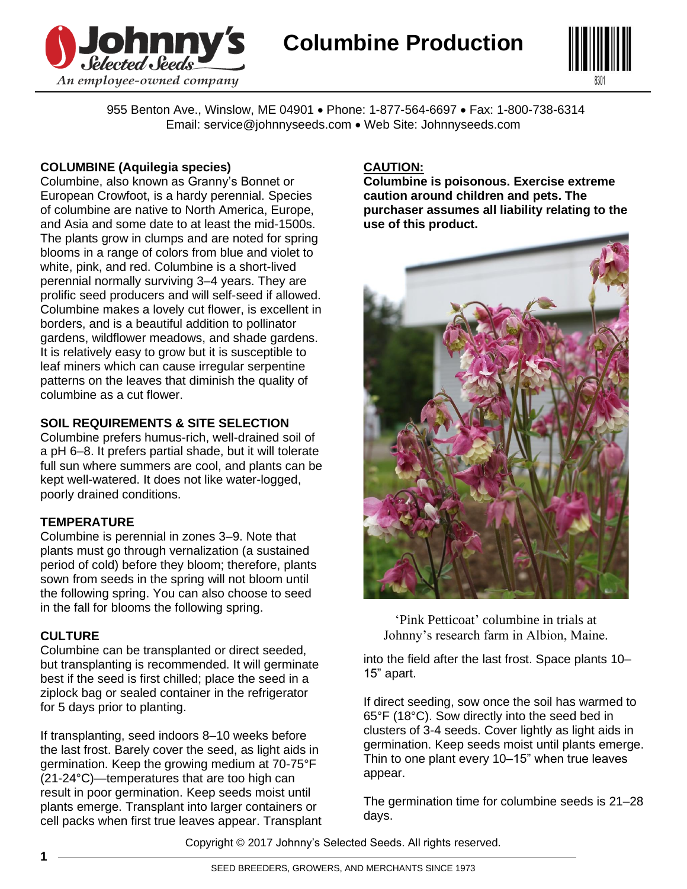



955 Benton Ave., Winslow, ME 04901 • Phone: 1-877-564-6697 • Fax: 1-800-738-6314 Email: service@johnnyseeds.com • Web Site: Johnnyseeds.com

#### **COLUMBINE (Aquilegia species)**

Columbine, also known as Granny's Bonnet or European Crowfoot, is a hardy perennial. Species of columbine are native to North America, Europe, and Asia and some date to at least the mid-1500s. The plants grow in clumps and are noted for spring blooms in a range of colors from blue and violet to white, pink, and red. Columbine is a short-lived perennial normally surviving 3–4 years. They are prolific seed producers and will self-seed if allowed. Columbine makes a lovely cut flower, is excellent in borders, and is a beautiful addition to pollinator gardens, wildflower meadows, and shade gardens. It is relatively easy to grow but it is susceptible to leaf miners which can cause irregular serpentine patterns on the leaves that diminish the quality of columbine as a cut flower.

# **SOIL REQUIREMENTS & SITE SELECTION**

Columbine prefers humus-rich, well-drained soil of a pH 6–8. It prefers partial shade, but it will tolerate full sun where summers are cool, and plants can be kept well-watered. It does not like water-logged, poorly drained conditions.

# **TEMPERATURE**

Columbine is perennial in zones 3–9. Note that plants must go through vernalization (a sustained period of cold) before they bloom; therefore, plants sown from seeds in the spring will not bloom until the following spring. You can also choose to seed in the fall for blooms the following spring.

# **CULTURE**

Columbine can be transplanted or direct seeded, but transplanting is recommended. It will germinate best if the seed is first chilled; place the seed in a ziplock bag or sealed container in the refrigerator for 5 days prior to planting.

If transplanting, seed indoors 8–10 weeks before the last frost. Barely cover the seed, as light aids in germination. Keep the growing medium at 70-75°F (21-24°C)—temperatures that are too high can result in poor germination. Keep seeds moist until plants emerge. Transplant into larger containers or cell packs when first true leaves appear. Transplant

# **CAUTION:**

**Columbine is poisonous. Exercise extreme caution around children and pets. The purchaser assumes all liability relating to the use of this product.**



'Pink Petticoat' columbine in trials at Johnny's research farm in Albion, Maine.

into the field after the last frost. Space plants 10– 15" apart.

If direct seeding, sow once the soil has warmed to 65°F (18°C). Sow directly into the seed bed in clusters of 3-4 seeds. Cover lightly as light aids in germination. Keep seeds moist until plants emerge. Thin to one plant every 10–15" when true leaves appear.

The germination time for columbine seeds is 21–28 days.

Copyright © 2017 Johnny's Selected Seeds. All rights reserved.